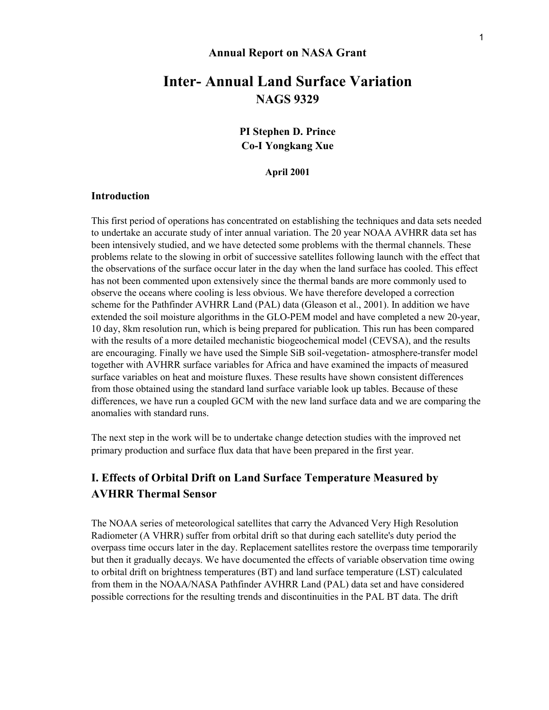#### **Annual Report on NASA Grant**

# **Inter- Annual Land Surface Variation NAGS 9329**

**PI Stephen D. Prince Co-I Yongkang Xue** 

**April 2001** 

#### **Introduction**

This first period of operations has concentrated on establishing the techniques and data sets needed to undertake an accurate study of inter annual variation. The 20 year NOAA AVHRR data set has been intensively studied, and we have detected some problems with the thermal channels. These problems relate to the slowing in orbit of successive satellites following launch with the effect that the observations of the surface occur later in the day when the land surface has cooled. This effect has not been commented upon extensively since the thermal bands are more commonly used to observe the oceans where cooling is less obvious. We have therefore developed a correction scheme for the Pathfinder AVHRR Land (PAL) data (Gleason et al., 2001). In addition we have extended the soil moisture algorithms in the GLO-PEM model and have completed a new 20-year, 10 day, 8km resolution run, which is being prepared for publication. This run has been compared with the results of a more detailed mechanistic biogeochemical model (CEVSA), and the results are encouraging. Finally we have used the Simple SiB soil-vegetation- atmosphere-transfer model together with AVHRR surface variables for Africa and have examined the impacts of measured surface variables on heat and moisture fluxes. These results have shown consistent differences from those obtained using the standard land surface variable look up tables. Because of these differences, we have run a coupled GCM with the new land surface data and we are comparing the anomalies with standard runs.

The next step in the work will be to undertake change detection studies with the improved net primary production and surface flux data that have been prepared in the first year.

### **I. Effects of Orbital Drift on Land Surface Temperature Measured by AVHRR Thermal Sensor**

The NOAA series of meteorological satellites that carry the Advanced Very High Resolution Radiometer (A VHRR) suffer from orbital drift so that during each satellite's duty period the overpass time occurs later in the day. Replacement satellites restore the overpass time temporarily but then it gradually decays. We have documented the effects of variable observation time owing to orbital drift on brightness temperatures (BT) and land surface temperature (LST) calculated from them in the NOAA/NASA Pathfinder AVHRR Land (PAL) data set and have considered possible corrections for the resulting trends and discontinuities in the PAL BT data. The drift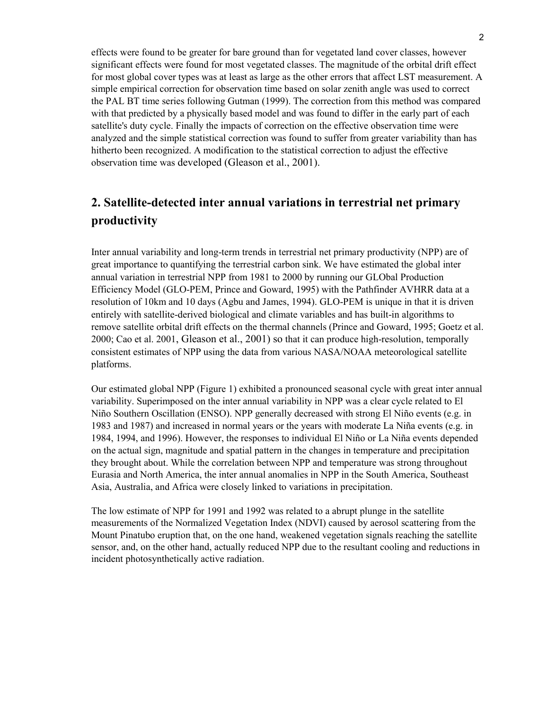effects were found to be greater for bare ground than for vegetated land cover classes, however significant effects were found for most vegetated classes. The magnitude of the orbital drift effect for most global cover types was at least as large as the other errors that affect LST measurement. A simple empirical correction for observation time based on solar zenith angle was used to correct the PAL BT time series following Gutman (1999). The correction from this method was compared with that predicted by a physically based model and was found to differ in the early part of each satellite's duty cycle. Finally the impacts of correction on the effective observation time were analyzed and the simple statistical correction was found to suffer from greater variability than has hitherto been recognized. A modification to the statistical correction to adjust the effective observation time was developed (Gleason et al., 2001).

## **2. Satellite-detected inter annual variations in terrestrial net primary productivity**

Inter annual variability and long-term trends in terrestrial net primary productivity (NPP) are of great importance to quantifying the terrestrial carbon sink. We have estimated the global inter annual variation in terrestrial NPP from 1981 to 2000 by running our GLObal Production Efficiency Model (GLO-PEM, Prince and Goward, 1995) with the Pathfinder AVHRR data at a resolution of 10km and 10 days (Agbu and James, 1994). GLO-PEM is unique in that it is driven entirely with satellite-derived biological and climate variables and has built-in algorithms to remove satellite orbital drift effects on the thermal channels (Prince and Goward, 1995; Goetz et al. 2000; Cao et al. 2001, Gleason et al., 2001) so that it can produce high-resolution, temporally consistent estimates of NPP using the data from various NASA/NOAA meteorological satellite platforms.

Our estimated global NPP (Figure 1) exhibited a pronounced seasonal cycle with great inter annual variability. Superimposed on the inter annual variability in NPP was a clear cycle related to El Niño Southern Oscillation (ENSO). NPP generally decreased with strong El Niño events (e.g. in 1983 and 1987) and increased in normal years or the years with moderate La Niña events (e.g. in 1984, 1994, and 1996). However, the responses to individual El Niño or La Niña events depended on the actual sign, magnitude and spatial pattern in the changes in temperature and precipitation they brought about. While the correlation between NPP and temperature was strong throughout Eurasia and North America, the inter annual anomalies in NPP in the South America, Southeast Asia, Australia, and Africa were closely linked to variations in precipitation.

The low estimate of NPP for 1991 and 1992 was related to a abrupt plunge in the satellite measurements of the Normalized Vegetation Index (NDVI) caused by aerosol scattering from the Mount Pinatubo eruption that, on the one hand, weakened vegetation signals reaching the satellite sensor, and, on the other hand, actually reduced NPP due to the resultant cooling and reductions in incident photosynthetically active radiation.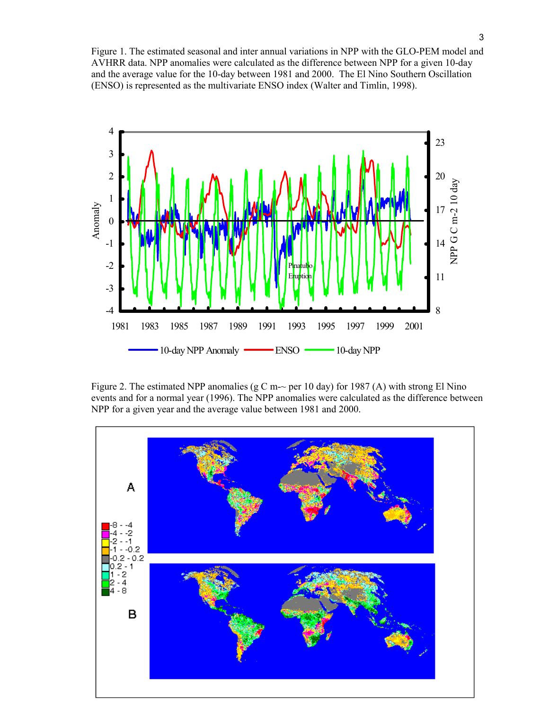Figure 1. The estimated seasonal and inter annual variations in NPP with the GLO-PEM model and AVHRR data. NPP anomalies were calculated as the difference between NPP for a given 10-day and the average value for the 10-day between 1981 and 2000. The El Nino Southern Oscillation (ENSO) is represented as the multivariate ENSO index (Walter and Timlin, 1998).



Figure 2. The estimated NPP anomalies (g C m- $\sim$  per 10 day) for 1987 (A) with strong El Nino events and for a normal year (1996). The NPP anomalies were calculated as the difference between NPP for a given year and the average value between 1981 and 2000.

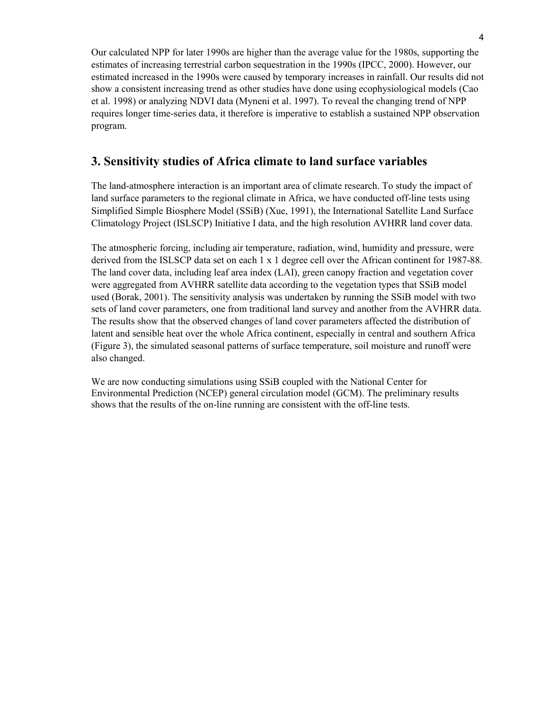Our calculated NPP for later 1990s are higher than the average value for the 1980s, supporting the estimates of increasing terrestrial carbon sequestration in the 1990s (IPCC, 2000). However, our estimated increased in the 1990s were caused by temporary increases in rainfall. Our results did not show a consistent increasing trend as other studies have done using ecophysiological models (Cao et al. 1998) or analyzing NDVI data (Myneni et al. 1997). To reveal the changing trend of NPP requires longer time-series data, it therefore is imperative to establish a sustained NPP observation program.

## **3. Sensitivity studies of Africa climate to land surface variables**

The land-atmosphere interaction is an important area of climate research. To study the impact of land surface parameters to the regional climate in Africa, we have conducted off-line tests using Simplified Simple Biosphere Model (SSiB) (Xue, 1991), the International Satellite Land Surface Climatology Project (ISLSCP) Initiative I data, and the high resolution AVHRR land cover data.

The atmospheric forcing, including air temperature, radiation, wind, humidity and pressure, were derived from the ISLSCP data set on each 1 x 1 degree cell over the African continent for 1987-88. The land cover data, including leaf area index (LAI), green canopy fraction and vegetation cover were aggregated from AVHRR satellite data according to the vegetation types that SSiB model used (Borak, 2001). The sensitivity analysis was undertaken by running the SSiB model with two sets of land cover parameters, one from traditional land survey and another from the AVHRR data. The results show that the observed changes of land cover parameters affected the distribution of latent and sensible heat over the whole Africa continent, especially in central and southern Africa (Figure 3), the simulated seasonal patterns of surface temperature, soil moisture and runoff were also changed.

We are now conducting simulations using SSiB coupled with the National Center for Environmental Prediction (NCEP) general circulation model (GCM). The preliminary results shows that the results of the on-line running are consistent with the off-line tests.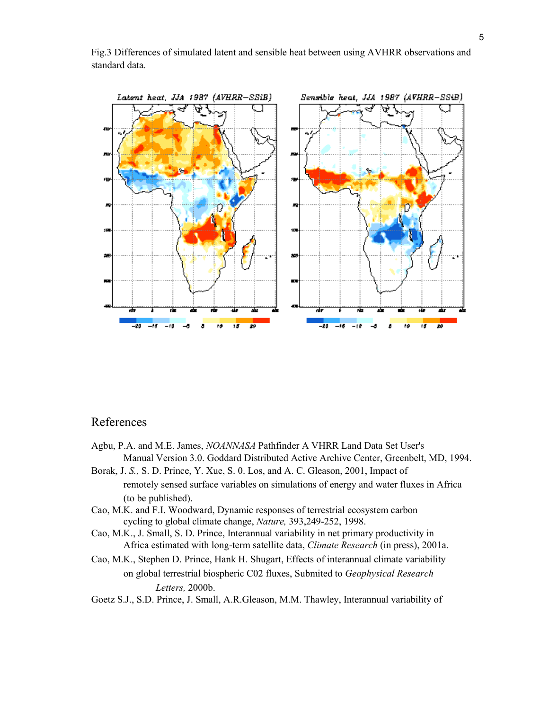

Fig.3 Differences of simulated latent and sensible heat between using AVHRR observations and standard data.

### References

- Agbu, P.A. and M.E. James, *NOANNASA* Pathfinder A VHRR Land Data Set User's Manual Version 3.0. Goddard Distributed Active Archive Center, Greenbelt, MD, 1994.
- Borak, J. *S.,* S. D. Prince, Y. Xue, S. 0. Los, and A. C. Gleason, 2001, Impact of remotely sensed surface variables on simulations of energy and water fluxes in Africa (to be published).
- Cao, M.K. and F.I. Woodward, Dynamic responses of terrestrial ecosystem carbon cycling to global climate change, *Nature,* 393,249-252, 1998.
- Cao, M.K., J. Small, S. D. Prince, Interannual variability in net primary productivity in Africa estimated with long-term satellite data, *Climate Research* (in press), 2001a.
- Cao, M.K., Stephen D. Prince, Hank H. Shugart, Effects of interannual climate variability on global terrestrial biospheric C02 fluxes, Submited to *Geophysical Research Letters,* 2000b.
- Goetz S.J., S.D. Prince, J. Small, A.R.Gleason, M.M. Thawley, Interannual variability of